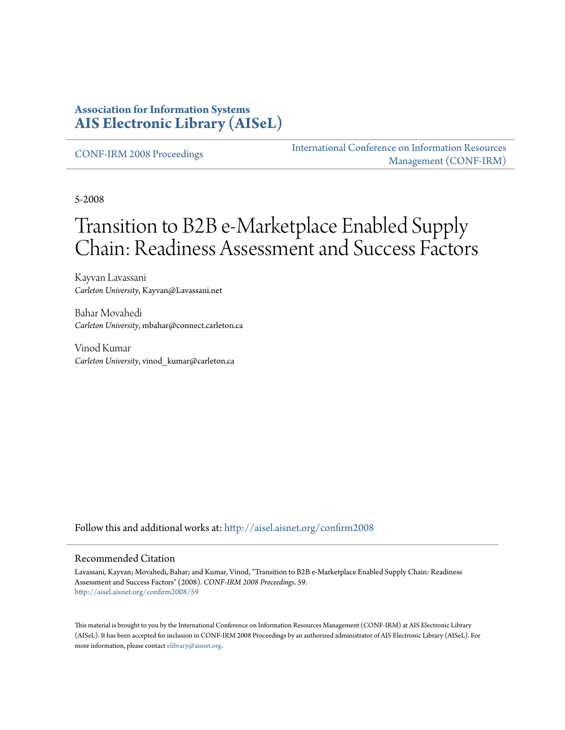### **Association for Information Systems [AIS Electronic Library \(AISeL\)](http://aisel.aisnet.org?utm_source=aisel.aisnet.org%2Fconfirm2008%2F59&utm_medium=PDF&utm_campaign=PDFCoverPages)**

[CONF-IRM 2008 Proceedings](http://aisel.aisnet.org/confirm2008?utm_source=aisel.aisnet.org%2Fconfirm2008%2F59&utm_medium=PDF&utm_campaign=PDFCoverPages)

[International Conference on Information Resources](http://aisel.aisnet.org/conf-irm?utm_source=aisel.aisnet.org%2Fconfirm2008%2F59&utm_medium=PDF&utm_campaign=PDFCoverPages) [Management \(CONF-IRM\)](http://aisel.aisnet.org/conf-irm?utm_source=aisel.aisnet.org%2Fconfirm2008%2F59&utm_medium=PDF&utm_campaign=PDFCoverPages)

5-2008

# Transition to B2B e-Marketplace Enabled Supply Chain: Readiness Assessment and Success Factors

Kayvan Lavassani *Carleton University*, Kayvan@Lavassani.net

Bahar Movahedi *Carleton University*, mbahar@connect.carleton.ca

Vinod Kumar *Carleton University*, vinod\_kumar@carleton.ca

Follow this and additional works at: [http://aisel.aisnet.org/confirm2008](http://aisel.aisnet.org/confirm2008?utm_source=aisel.aisnet.org%2Fconfirm2008%2F59&utm_medium=PDF&utm_campaign=PDFCoverPages)

#### Recommended Citation

Lavassani, Kayvan; Movahedi, Bahar; and Kumar, Vinod, "Transition to B2B e-Marketplace Enabled Supply Chain: Readiness Assessment and Success Factors" (2008). *CONF-IRM 2008 Proceedings*. 59. [http://aisel.aisnet.org/confirm2008/59](http://aisel.aisnet.org/confirm2008/59?utm_source=aisel.aisnet.org%2Fconfirm2008%2F59&utm_medium=PDF&utm_campaign=PDFCoverPages)

This material is brought to you by the International Conference on Information Resources Management (CONF-IRM) at AIS Electronic Library (AISeL). It has been accepted for inclusion in CONF-IRM 2008 Proceedings by an authorized administrator of AIS Electronic Library (AISeL). For more information, please contact [elibrary@aisnet.org.](mailto:elibrary@aisnet.org%3E)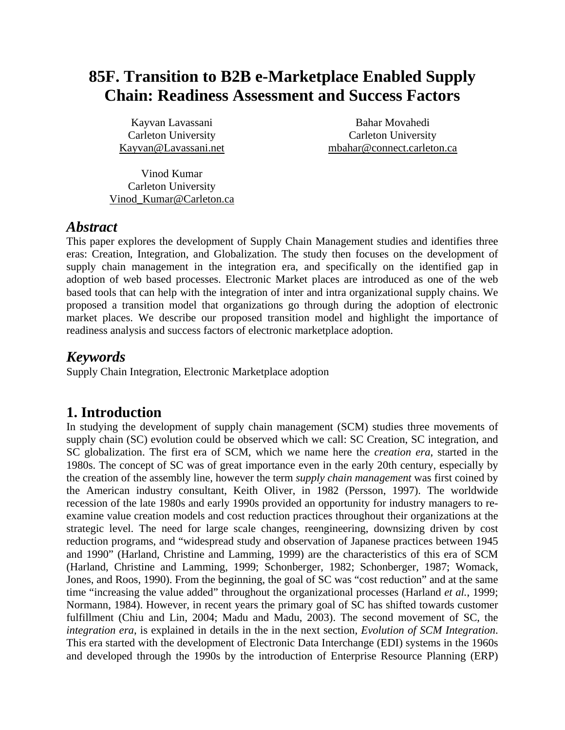## **85F. Transition to B2B e-Marketplace Enabled Supply Chain: Readiness Assessment and Success Factors**

Kayvan Lavassani Carleton University Kayvan@Lavassani.net

Bahar Movahedi Carleton University mbahar@connect.carleton.ca

Vinod Kumar Carleton University Vinod\_Kumar@Carleton.ca

#### *Abstract*

This paper explores the development of Supply Chain Management studies and identifies three eras: Creation, Integration, and Globalization. The study then focuses on the development of supply chain management in the integration era, and specifically on the identified gap in adoption of web based processes. Electronic Market places are introduced as one of the web based tools that can help with the integration of inter and intra organizational supply chains. We proposed a transition model that organizations go through during the adoption of electronic market places. We describe our proposed transition model and highlight the importance of readiness analysis and success factors of electronic marketplace adoption.

### *Keywords*

Supply Chain Integration, Electronic Marketplace adoption

### **1. Introduction**

In studying the development of supply chain management (SCM) studies three movements of supply chain (SC) evolution could be observed which we call: SC Creation, SC integration, and SC globalization. The first era of SCM, which we name here the *creation era*, started in the 1980s. The concept of SC was of great importance even in the early 20th century, especially by the creation of the assembly line, however the term *supply chain management* was first coined by the American industry consultant, Keith Oliver, in 1982 (Persson, 1997). The worldwide recession of the late 1980s and early 1990s provided an opportunity for industry managers to reexamine value creation models and cost reduction practices throughout their organizations at the strategic level. The need for large scale changes, reengineering, downsizing driven by cost reduction programs, and "widespread study and observation of Japanese practices between 1945 and 1990" (Harland, Christine and Lamming, 1999) are the characteristics of this era of SCM (Harland, Christine and Lamming, 1999; Schonberger, 1982; Schonberger, 1987; Womack, Jones, and Roos, 1990). From the beginning, the goal of SC was "cost reduction" and at the same time "increasing the value added" throughout the organizational processes (Harland *et al.*, 1999; Normann, 1984). However, in recent years the primary goal of SC has shifted towards customer fulfillment (Chiu and Lin, 2004; Madu and Madu, 2003). The second movement of SC, the *integration era*, is explained in details in the in the next section, *Evolution of SCM Integration*. This era started with the development of Electronic Data Interchange (EDI) systems in the 1960s and developed through the 1990s by the introduction of Enterprise Resource Planning (ERP)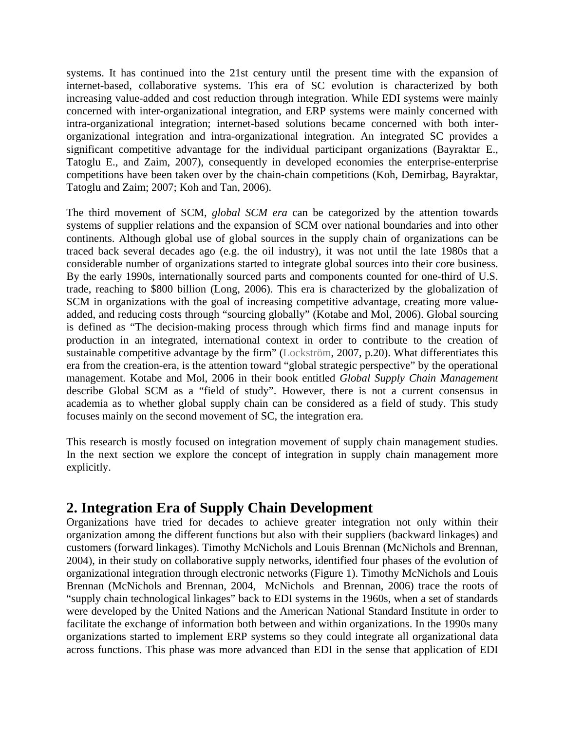systems. It has continued into the 21st century until the present time with the expansion of internet-based, collaborative systems. This era of SC evolution is characterized by both increasing value-added and cost reduction through integration. While EDI systems were mainly concerned with inter-organizational integration, and ERP systems were mainly concerned with intra-organizational integration; internet-based solutions became concerned with both interorganizational integration and intra-organizational integration. An integrated SC provides a significant competitive advantage for the individual participant organizations (Bayraktar E., Tatoglu E., and Zaim, 2007), consequently in developed economies the enterprise-enterprise competitions have been taken over by the chain-chain competitions (Koh, Demirbag, Bayraktar, Tatoglu and Zaim; 2007; Koh and Tan, 2006).

The third movement of SCM, *global SCM era* can be categorized by the attention towards systems of supplier relations and the expansion of SCM over national boundaries and into other continents. Although global use of global sources in the supply chain of organizations can be traced back several decades ago (e.g. the oil industry), it was not until the late 1980s that a considerable number of organizations started to integrate global sources into their core business. By the early 1990s, internationally sourced parts and components counted for one-third of U.S. trade, reaching to \$800 billion (Long, 2006). This era is characterized by the globalization of SCM in organizations with the goal of increasing competitive advantage, creating more valueadded, and reducing costs through "sourcing globally" (Kotabe and Mol, 2006). Global sourcing is defined as "The decision-making process through which firms find and manage inputs for production in an integrated, international context in order to contribute to the creation of sustainable competitive advantage by the firm" (Lockström, 2007, p.20). What differentiates this era from the creation-era, is the attention toward "global strategic perspective" by the operational management. Kotabe and Mol, 2006 in their book entitled *Global Supply Chain Management*  describe Global SCM as a "field of study". However, there is not a current consensus in academia as to whether global supply chain can be considered as a field of study. This study focuses mainly on the second movement of SC, the integration era.

This research is mostly focused on integration movement of supply chain management studies. In the next section we explore the concept of integration in supply chain management more explicitly.

### **2. Integration Era of Supply Chain Development**

Organizations have tried for decades to achieve greater integration not only within their organization among the different functions but also with their suppliers (backward linkages) and customers (forward linkages). Timothy McNichols and Louis Brennan (McNichols and Brennan, 2004), in their study on collaborative supply networks, identified four phases of the evolution of organizational integration through electronic networks (Figure 1). Timothy McNichols and Louis Brennan (McNichols and Brennan, 2004, McNichols and Brennan, 2006) trace the roots of "supply chain technological linkages" back to EDI systems in the 1960s, when a set of standards were developed by the United Nations and the American National Standard Institute in order to facilitate the exchange of information both between and within organizations. In the 1990s many organizations started to implement ERP systems so they could integrate all organizational data across functions. This phase was more advanced than EDI in the sense that application of EDI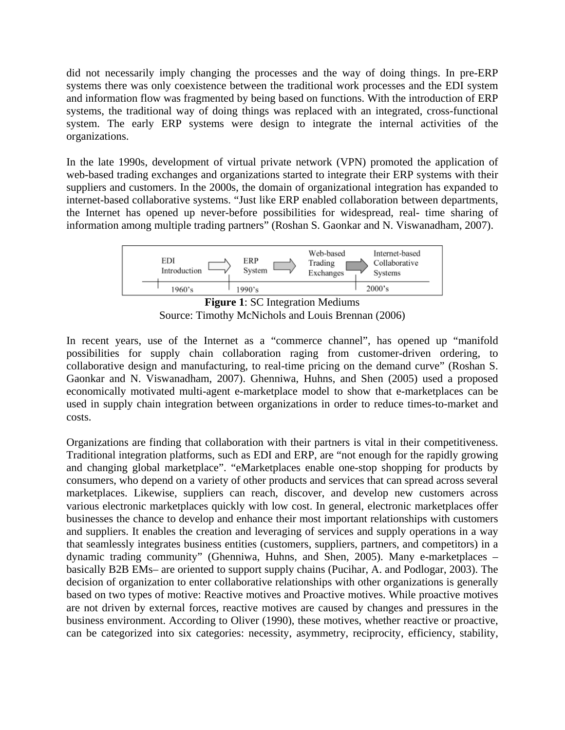did not necessarily imply changing the processes and the way of doing things. In pre-ERP systems there was only coexistence between the traditional work processes and the EDI system and information flow was fragmented by being based on functions. With the introduction of ERP systems, the traditional way of doing things was replaced with an integrated, cross-functional system. The early ERP systems were design to integrate the internal activities of the organizations.

In the late 1990s, development of virtual private network (VPN) promoted the application of web-based trading exchanges and organizations started to integrate their ERP systems with their suppliers and customers. In the 2000s, the domain of organizational integration has expanded to internet-based collaborative systems. "Just like ERP enabled collaboration between departments, the Internet has opened up never-before possibilities for widespread, real- time sharing of information among multiple trading partners" (Roshan S. Gaonkar and N. Viswanadham, 2007).



**Figure 1**: SC Integration Mediums Source: Timothy McNichols and Louis Brennan (2006)

In recent years, use of the Internet as a "commerce channel", has opened up "manifold possibilities for supply chain collaboration raging from customer-driven ordering, to collaborative design and manufacturing, to real-time pricing on the demand curve" (Roshan S. Gaonkar and N. Viswanadham, 2007). Ghenniwa, Huhns, and Shen (2005) used a proposed economically motivated multi-agent e-marketplace model to show that e-marketplaces can be used in supply chain integration between organizations in order to reduce times-to-market and costs.

Organizations are finding that collaboration with their partners is vital in their competitiveness. Traditional integration platforms, such as EDI and ERP, are "not enough for the rapidly growing and changing global marketplace". "eMarketplaces enable one-stop shopping for products by consumers, who depend on a variety of other products and services that can spread across several marketplaces. Likewise, suppliers can reach, discover, and develop new customers across various electronic marketplaces quickly with low cost. In general, electronic marketplaces offer businesses the chance to develop and enhance their most important relationships with customers and suppliers. It enables the creation and leveraging of services and supply operations in a way that seamlessly integrates business entities (customers, suppliers, partners, and competitors) in a dynamic trading community" (Ghenniwa, Huhns, and Shen, 2005). Many e-marketplaces – basically B2B EMs– are oriented to support supply chains (Pucihar, A. and Podlogar, 2003). The decision of organization to enter collaborative relationships with other organizations is generally based on two types of motive: Reactive motives and Proactive motives. While proactive motives are not driven by external forces, reactive motives are caused by changes and pressures in the business environment. According to Oliver (1990), these motives, whether reactive or proactive, can be categorized into six categories: necessity, asymmetry, reciprocity, efficiency, stability,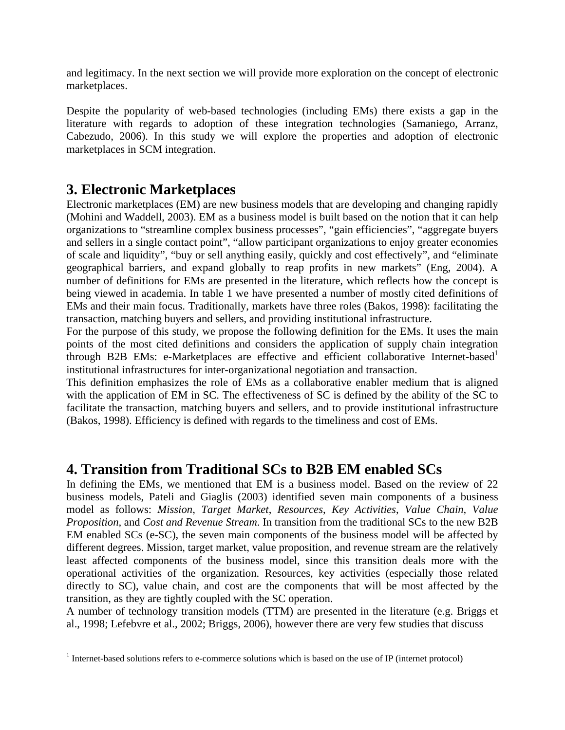and legitimacy. In the next section we will provide more exploration on the concept of electronic marketplaces.

Despite the popularity of web-based technologies (including EMs) there exists a gap in the literature with regards to adoption of these integration technologies (Samaniego, Arranz, Cabezudo, 2006). In this study we will explore the properties and adoption of electronic marketplaces in SCM integration.

### **3. Electronic Marketplaces**

Electronic marketplaces (EM) are new business models that are developing and changing rapidly (Mohini and Waddell, 2003). EM as a business model is built based on the notion that it can help organizations to "streamline complex business processes", "gain efficiencies", "aggregate buyers and sellers in a single contact point", "allow participant organizations to enjoy greater economies of scale and liquidity", "buy or sell anything easily, quickly and cost effectively", and "eliminate geographical barriers, and expand globally to reap profits in new markets" (Eng, 2004). A number of definitions for EMs are presented in the literature, which reflects how the concept is being viewed in academia. In table 1 we have presented a number of mostly cited definitions of EMs and their main focus. Traditionally, markets have three roles (Bakos, 1998): facilitating the transaction, matching buyers and sellers, and providing institutional infrastructure.

For the purpose of this study, we propose the following definition for the EMs. It uses the main points of the most cited definitions and considers the application of supply chain integration through B2B EMs: e-Marketplaces are effective and efficient collaborative Internet-based institutional infrastructures for inter-organizational negotiation and transaction.

This definition emphasizes the role of EMs as a collaborative enabler medium that is aligned with the application of EM in SC. The effectiveness of SC is defined by the ability of the SC to facilitate the transaction, matching buyers and sellers, and to provide institutional infrastructure (Bakos, 1998). Efficiency is defined with regards to the timeliness and cost of EMs.

### **4. Transition from Traditional SCs to B2B EM enabled SCs**

In defining the EMs, we mentioned that EM is a business model. Based on the review of 22 business models, Pateli and Giaglis (2003) identified seven main components of a business model as follows: *Mission*, *Target Market*, *Resources*, *Key Activities*, *Value Chain, Value Proposition,* and *Cost and Revenue Stream*. In transition from the traditional SCs to the new B2B EM enabled SCs (e-SC), the seven main components of the business model will be affected by different degrees. Mission, target market, value proposition, and revenue stream are the relatively least affected components of the business model, since this transition deals more with the operational activities of the organization. Resources, key activities (especially those related directly to SC), value chain, and cost are the components that will be most affected by the transition, as they are tightly coupled with the SC operation.

A number of technology transition models (TTM) are presented in the literature (e.g. Briggs et al., 1998; Lefebvre et al., 2002; Briggs, 2006), however there are very few studies that discuss

 $<sup>1</sup>$  Internet-based solutions refers to e-commerce solutions which is based on the use of IP (internet protocol)</sup>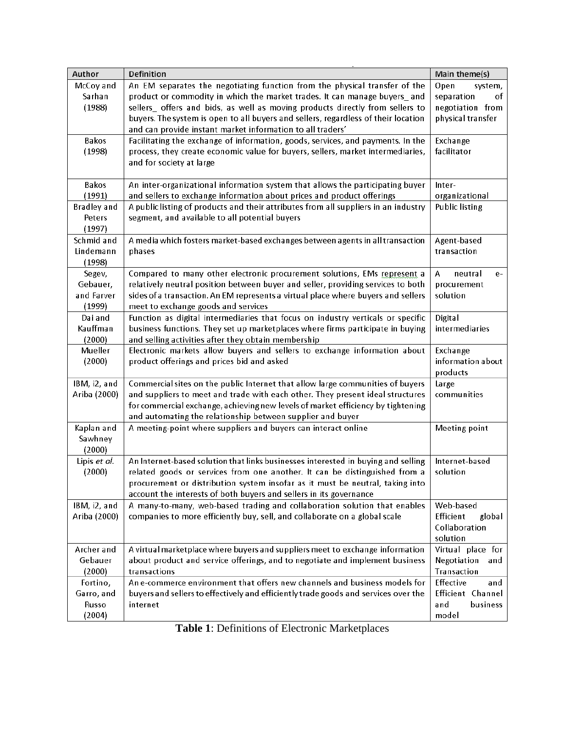| Author                       | Definition                                                                          | Main theme(s)           |
|------------------------------|-------------------------------------------------------------------------------------|-------------------------|
| McCoy and                    | An EM separates the negotiating function from the physical transfer of the          | Open<br>system,         |
| Sarhan                       | product or commodity in which the market trades. It can manage buyers_and           | separation<br>of        |
| (1988)                       | sellers_ offers and bids, as well as moving products directly from sellers to       | negotiation from        |
|                              | buyers. The system is open to all buyers and sellers, regardless of their location  | physical transfer       |
|                              | and can provide instant market information to all traders'                          |                         |
| Bakos                        | Facilitating the exchange of information, goods, services, and payments. In the     | Exchange                |
| (1998)                       | process, they create economic value for buyers, sellers, market intermediaries,     | facilitator             |
|                              | and for society at large                                                            |                         |
|                              |                                                                                     |                         |
| Bakos                        | An inter-organizational information system that allows the participating buyer      | Inter-                  |
| (1991)                       | and sellers to exchange information about prices and product offerings              | organizational          |
| <b>Bradley</b> and           | A public listing of products and their attributes from all suppliers in an industry | <b>Public listing</b>   |
| Peters                       | segment, and available to all potential buyers                                      |                         |
| (1997)                       |                                                                                     |                         |
| Schmid and                   | A media which fosters market-based exchanges between agents in all transaction      | Agent-based             |
| Lindemann                    | phases                                                                              | transaction             |
| (1998)                       |                                                                                     |                         |
| Segev,                       | Compared to many other electronic procurement solutions, EMs represent a            | А<br>neutral<br>e-      |
| Gebauer,                     | relatively neutral position between buyer and seller, providing services to both    | procurement             |
| and Farver                   | sides of a transaction. An EM represents a virtual place where buyers and sellers   | solution                |
| (1999)                       | meet to exchange goods and services                                                 |                         |
| Dai and                      | Function as digital intermediaries that focus on industry verticals or specific     | Digital                 |
| Kauffman                     | business functions. They set up marketplaces where firms participate in buying      | intermediaries          |
| (2000)                       | and selling activities after they obtain membership                                 |                         |
| Mueller                      | Electronic markets allow buyers and sellers to exchange information about           | Exchange                |
| (2000)                       | product offerings and prices bid and asked                                          | information about       |
|                              |                                                                                     | products                |
| IBM, i2, and                 | Commercial sites on the public Internet that allow large communities of buyers      | Large                   |
| Ariba (2000)                 | and suppliers to meet and trade with each other. They present ideal structures      | communities             |
|                              | for commercial exchange, achieving new levels of market efficiency by tightening    |                         |
|                              | and automating the relationship between supplier and buyer                          |                         |
| Kaplan and                   | A meeting-point where suppliers and buyers can interact online                      | Meeting point           |
| Sawhney                      |                                                                                     |                         |
| (2000)                       |                                                                                     |                         |
| Lipis et al.                 | An Internet-based solution that links businesses interested in buying and selling   | Internet-based          |
| (2000)                       | related goods or services from one another. It can be distinguished from a          | solution                |
|                              | procurement or distribution system insofar as it must be neutral, taking into       |                         |
|                              | account the interests of both buyers and sellers in its governance                  |                         |
| IBM, i2, and<br>Ariba (2000) | A many-to-many, web-based trading and collaboration solution that enables           | Web-based<br>Efficient  |
|                              | companies to more efficiently buy, sell, and collaborate on a global scale          | global<br>Collaboration |
|                              |                                                                                     | solution                |
| Archer and                   | A virtual marketplace where buyers and suppliers meet to exchange information       | Virtual place for       |
| Gebauer                      | about product and service offerings, and to negotiate and implement business        | Negotiation<br>and      |
| (2000)                       | transactions                                                                        | Transaction             |
| Fortino,                     | An e-commerce environment that offers new channels and business models for          | Effective<br>and        |
| Garro, and                   | buyers and sellers to effectively and efficiently trade goods and services over the | Efficient Channel       |
| Russo                        | internet                                                                            | business<br>and         |
| (2004)                       |                                                                                     | model                   |
|                              |                                                                                     |                         |

**Table 1**: Definitions of Electronic Marketplaces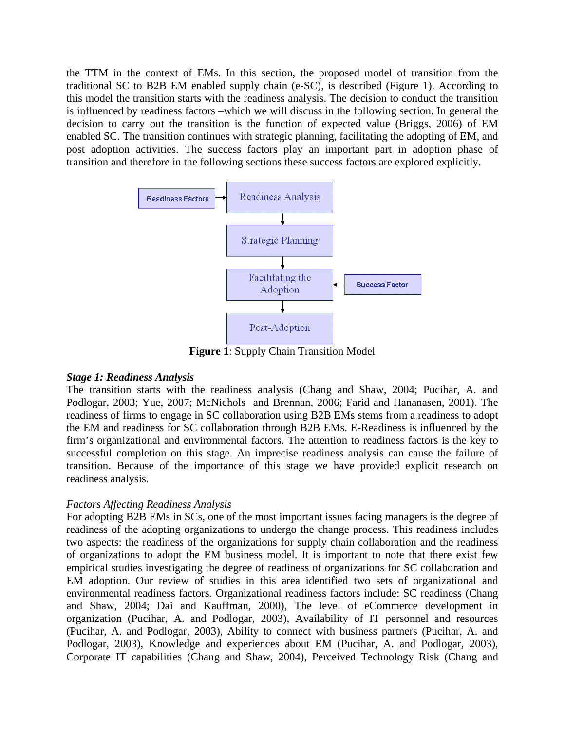the TTM in the context of EMs. In this section, the proposed model of transition from the traditional SC to B2B EM enabled supply chain (e-SC), is described (Figure 1). According to this model the transition starts with the readiness analysis. The decision to conduct the transition is influenced by readiness factors –which we will discuss in the following section. In general the decision to carry out the transition is the function of expected value (Briggs, 2006) of EM enabled SC. The transition continues with strategic planning, facilitating the adopting of EM, and post adoption activities. The success factors play an important part in adoption phase of transition and therefore in the following sections these success factors are explored explicitly.



**Figure 1**: Supply Chain Transition Model

#### *Stage 1: Readiness Analysis*

The transition starts with the readiness analysis (Chang and Shaw, 2004; Pucihar, A. and Podlogar, 2003; Yue, 2007; McNichols and Brennan, 2006; Farid and Hananasen, 2001). The readiness of firms to engage in SC collaboration using B2B EMs stems from a readiness to adopt the EM and readiness for SC collaboration through B2B EMs. E-Readiness is influenced by the firm's organizational and environmental factors. The attention to readiness factors is the key to successful completion on this stage. An imprecise readiness analysis can cause the failure of transition. Because of the importance of this stage we have provided explicit research on readiness analysis.

#### *Factors Affecting Readiness Analysis*

For adopting B2B EMs in SCs, one of the most important issues facing managers is the degree of readiness of the adopting organizations to undergo the change process. This readiness includes two aspects: the readiness of the organizations for supply chain collaboration and the readiness of organizations to adopt the EM business model. It is important to note that there exist few empirical studies investigating the degree of readiness of organizations for SC collaboration and EM adoption. Our review of studies in this area identified two sets of organizational and environmental readiness factors. Organizational readiness factors include: SC readiness (Chang and Shaw, 2004; Dai and Kauffman, 2000), The level of eCommerce development in organization (Pucihar, A. and Podlogar, 2003), Availability of IT personnel and resources (Pucihar, A. and Podlogar, 2003), Ability to connect with business partners (Pucihar, A. and Podlogar, 2003), Knowledge and experiences about EM (Pucihar, A. and Podlogar, 2003), Corporate IT capabilities (Chang and Shaw, 2004), Perceived Technology Risk (Chang and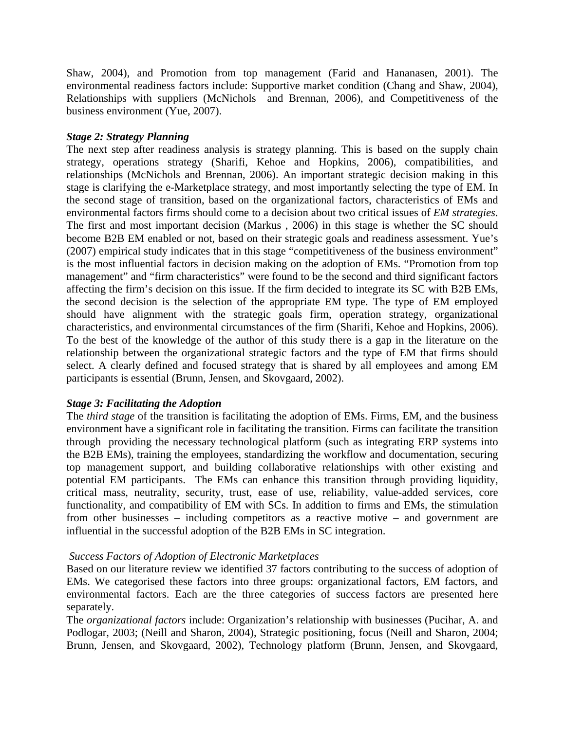Shaw, 2004), and Promotion from top management (Farid and Hananasen, 2001). The environmental readiness factors include: Supportive market condition (Chang and Shaw, 2004), Relationships with suppliers (McNichols and Brennan, 2006), and Competitiveness of the business environment (Yue, 2007).

#### *Stage 2: Strategy Planning*

The next step after readiness analysis is strategy planning. This is based on the supply chain strategy, operations strategy (Sharifi, Kehoe and Hopkins, 2006), compatibilities, and relationships (McNichols and Brennan, 2006). An important strategic decision making in this stage is clarifying the e-Marketplace strategy, and most importantly selecting the type of EM. In the second stage of transition, based on the organizational factors, characteristics of EMs and environmental factors firms should come to a decision about two critical issues of *EM strategies*. The first and most important decision (Markus , 2006) in this stage is whether the SC should become B2B EM enabled or not, based on their strategic goals and readiness assessment. Yue's (2007) empirical study indicates that in this stage "competitiveness of the business environment" is the most influential factors in decision making on the adoption of EMs. "Promotion from top management" and "firm characteristics" were found to be the second and third significant factors affecting the firm's decision on this issue. If the firm decided to integrate its SC with B2B EMs, the second decision is the selection of the appropriate EM type. The type of EM employed should have alignment with the strategic goals firm, operation strategy, organizational characteristics, and environmental circumstances of the firm (Sharifi, Kehoe and Hopkins, 2006). To the best of the knowledge of the author of this study there is a gap in the literature on the relationship between the organizational strategic factors and the type of EM that firms should select. A clearly defined and focused strategy that is shared by all employees and among EM participants is essential (Brunn, Jensen, and Skovgaard, 2002).

#### *Stage 3: Facilitating the Adoption*

The *third stage* of the transition is facilitating the adoption of EMs. Firms, EM, and the business environment have a significant role in facilitating the transition. Firms can facilitate the transition through providing the necessary technological platform (such as integrating ERP systems into the B2B EMs), training the employees, standardizing the workflow and documentation, securing top management support, and building collaborative relationships with other existing and potential EM participants. The EMs can enhance this transition through providing liquidity, critical mass, neutrality, security, trust, ease of use, reliability, value-added services, core functionality, and compatibility of EM with SCs. In addition to firms and EMs, the stimulation from other businesses – including competitors as a reactive motive – and government are influential in the successful adoption of the B2B EMs in SC integration.

#### *Success Factors of Adoption of Electronic Marketplaces*

Based on our literature review we identified 37 factors contributing to the success of adoption of EMs. We categorised these factors into three groups: organizational factors, EM factors, and environmental factors. Each are the three categories of success factors are presented here separately.

The *organizational factors* include: Organization's relationship with businesses (Pucihar, A. and Podlogar, 2003; (Neill and Sharon, 2004), Strategic positioning, focus (Neill and Sharon, 2004; Brunn, Jensen, and Skovgaard, 2002), Technology platform (Brunn, Jensen, and Skovgaard,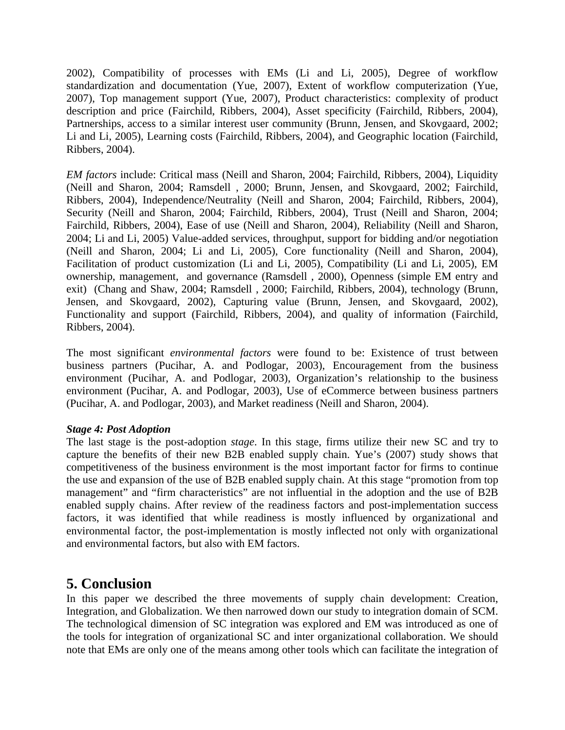2002), Compatibility of processes with EMs (Li and Li, 2005), Degree of workflow standardization and documentation (Yue, 2007), Extent of workflow computerization (Yue, 2007), Top management support (Yue, 2007), Product characteristics: complexity of product description and price (Fairchild, Ribbers, 2004), Asset specificity (Fairchild, Ribbers, 2004), Partnerships, access to a similar interest user community (Brunn, Jensen, and Skovgaard, 2002; Li and Li, 2005), Learning costs (Fairchild, Ribbers, 2004), and Geographic location (Fairchild, Ribbers, 2004).

*EM factors* include: Critical mass (Neill and Sharon, 2004; Fairchild, Ribbers, 2004), Liquidity (Neill and Sharon, 2004; Ramsdell , 2000; Brunn, Jensen, and Skovgaard, 2002; Fairchild, Ribbers, 2004), Independence/Neutrality (Neill and Sharon, 2004; Fairchild, Ribbers, 2004), Security (Neill and Sharon, 2004; Fairchild, Ribbers, 2004), Trust (Neill and Sharon, 2004; Fairchild, Ribbers, 2004), Ease of use (Neill and Sharon, 2004), Reliability (Neill and Sharon, 2004; Li and Li, 2005) Value-added services, throughput, support for bidding and/or negotiation (Neill and Sharon, 2004; Li and Li, 2005), Core functionality (Neill and Sharon, 2004), Facilitation of product customization (Li and Li, 2005), Compatibility (Li and Li, 2005), EM ownership, management, and governance (Ramsdell , 2000), Openness (simple EM entry and exit) (Chang and Shaw, 2004; Ramsdell , 2000; Fairchild, Ribbers, 2004), technology (Brunn, Jensen, and Skovgaard, 2002), Capturing value (Brunn, Jensen, and Skovgaard, 2002), Functionality and support (Fairchild, Ribbers, 2004), and quality of information (Fairchild, Ribbers, 2004).

The most significant *environmental factors* were found to be: Existence of trust between business partners (Pucihar, A. and Podlogar, 2003), Encouragement from the business environment (Pucihar, A. and Podlogar, 2003), Organization's relationship to the business environment (Pucihar, A. and Podlogar, 2003), Use of eCommerce between business partners (Pucihar, A. and Podlogar, 2003), and Market readiness (Neill and Sharon, 2004).

#### *Stage 4: Post Adoption*

The last stage is the post-adoption *stage*. In this stage, firms utilize their new SC and try to capture the benefits of their new B2B enabled supply chain. Yue's (2007) study shows that competitiveness of the business environment is the most important factor for firms to continue the use and expansion of the use of B2B enabled supply chain. At this stage "promotion from top management" and "firm characteristics" are not influential in the adoption and the use of B2B enabled supply chains. After review of the readiness factors and post-implementation success factors, it was identified that while readiness is mostly influenced by organizational and environmental factor, the post-implementation is mostly inflected not only with organizational and environmental factors, but also with EM factors.

### **5. Conclusion**

In this paper we described the three movements of supply chain development: Creation, Integration, and Globalization. We then narrowed down our study to integration domain of SCM. The technological dimension of SC integration was explored and EM was introduced as one of the tools for integration of organizational SC and inter organizational collaboration. We should note that EMs are only one of the means among other tools which can facilitate the integration of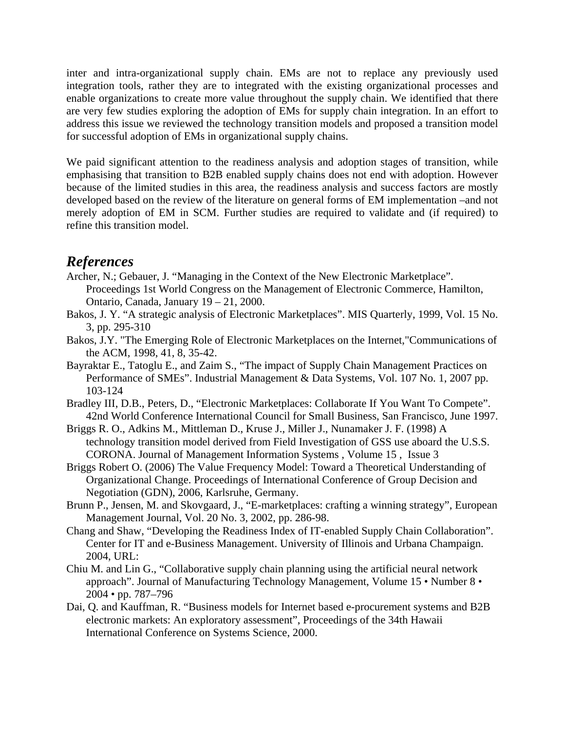inter and intra-organizational supply chain. EMs are not to replace any previously used integration tools, rather they are to integrated with the existing organizational processes and enable organizations to create more value throughout the supply chain. We identified that there are very few studies exploring the adoption of EMs for supply chain integration. In an effort to address this issue we reviewed the technology transition models and proposed a transition model for successful adoption of EMs in organizational supply chains.

We paid significant attention to the readiness analysis and adoption stages of transition, while emphasising that transition to B2B enabled supply chains does not end with adoption. However because of the limited studies in this area, the readiness analysis and success factors are mostly developed based on the review of the literature on general forms of EM implementation –and not merely adoption of EM in SCM. Further studies are required to validate and (if required) to refine this transition model.

### *References*

- Archer, N.; Gebauer, J. "Managing in the Context of the New Electronic Marketplace". Proceedings 1st World Congress on the Management of Electronic Commerce, Hamilton, Ontario, Canada, January 19 – 21, 2000.
- Bakos, J. Y. "A strategic analysis of Electronic Marketplaces". MIS Quarterly, 1999, Vol. 15 No. 3, pp. 295-310
- Bakos, J.Y. "The Emerging Role of Electronic Marketplaces on the Internet,"Communications of the ACM, 1998, 41, 8, 35-42.
- Bayraktar E., Tatoglu E., and Zaim S., "The impact of Supply Chain Management Practices on Performance of SMEs". Industrial Management & Data Systems, Vol. 107 No. 1, 2007 pp. 103-124
- Bradley III, D.B., Peters, D., "Electronic Marketplaces: Collaborate If You Want To Compete". 42nd World Conference International Council for Small Business, San Francisco, June 1997.
- Briggs R. O., Adkins M., Mittleman D., Kruse J., Miller J., Nunamaker J. F. (1998) A technology transition model derived from Field Investigation of GSS use aboard the U.S.S. CORONA. Journal of Management Information Systems , Volume 15 , Issue 3
- Briggs Robert O. (2006) The Value Frequency Model: Toward a Theoretical Understanding of Organizational Change. Proceedings of International Conference of Group Decision and Negotiation (GDN), 2006, Karlsruhe, Germany.
- Brunn P., Jensen, M. and Skovgaard, J., "E-marketplaces: crafting a winning strategy", European Management Journal, Vol. 20 No. 3, 2002, pp. 286-98.
- Chang and Shaw, "Developing the Readiness Index of IT-enabled Supply Chain Collaboration". Center for IT and e-Business Management. University of Illinois and Urbana Champaign. 2004, URL:
- Chiu M. and Lin G., "Collaborative supply chain planning using the artificial neural network approach". Journal of Manufacturing Technology Management, Volume 15 • Number 8 • 2004 • pp. 787–796
- Dai, Q. and Kauffman, R. "Business models for Internet based e-procurement systems and B2B electronic markets: An exploratory assessment", Proceedings of the 34th Hawaii International Conference on Systems Science, 2000.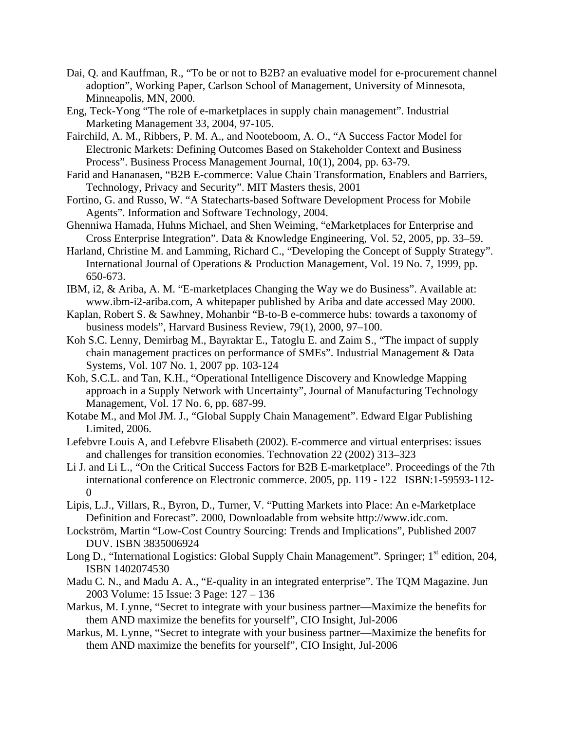- Dai, Q. and Kauffman, R., "To be or not to B2B? an evaluative model for e-procurement channel adoption", Working Paper, Carlson School of Management, University of Minnesota, Minneapolis, MN, 2000.
- Eng, Teck-Yong "The role of e-marketplaces in supply chain management". Industrial Marketing Management 33, 2004, 97-105.
- Fairchild, A. M., Ribbers, P. M. A., and Nooteboom, A. O., "A Success Factor Model for Electronic Markets: Defining Outcomes Based on Stakeholder Context and Business Process". Business Process Management Journal, 10(1), 2004, pp. 63-79.
- Farid and Hananasen, "B2B E-commerce: Value Chain Transformation, Enablers and Barriers, Technology, Privacy and Security". MIT Masters thesis, 2001
- Fortino, G. and Russo, W. "A Statecharts-based Software Development Process for Mobile Agents". Information and Software Technology, 2004.
- Ghenniwa Hamada, Huhns Michael, and Shen Weiming, "eMarketplaces for Enterprise and Cross Enterprise Integration". Data & Knowledge Engineering, Vol. 52, 2005, pp. 33–59.
- Harland, Christine M. and Lamming, Richard C., "Developing the Concept of Supply Strategy". International Journal of Operations & Production Management, Vol. 19 No. 7, 1999, pp. 650-673.
- IBM, i2, & Ariba, A. M. "E-marketplaces Changing the Way we do Business". Available at: www.ibm-i2-ariba.com, A whitepaper published by Ariba and date accessed May 2000.
- Kaplan, Robert S. & Sawhney, Mohanbir "B-to-B e-commerce hubs: towards a taxonomy of business models", Harvard Business Review, 79(1), 2000, 97–100.
- Koh S.C. Lenny, Demirbag M., Bayraktar E., Tatoglu E. and Zaim S., "The impact of supply chain management practices on performance of SMEs". Industrial Management & Data Systems, Vol. 107 No. 1, 2007 pp. 103-124
- Koh, S.C.L. and Tan, K.H., "Operational Intelligence Discovery and Knowledge Mapping approach in a Supply Network with Uncertainty", Journal of Manufacturing Technology Management, Vol. 17 No. 6, pp. 687-99.
- Kotabe M., and Mol JM. J., "Global Supply Chain Management". Edward Elgar Publishing Limited, 2006.
- Lefebvre Louis A, and Lefebvre Elisabeth (2002). E-commerce and virtual enterprises: issues and challenges for transition economies. Technovation 22 (2002) 313–323
- Li J. and Li L., "On the Critical Success Factors for B2B E-marketplace". Proceedings of the 7th international conference on Electronic commerce. 2005, pp. 119 - 122 ISBN:1-59593-112-  $\theta$
- Lipis, L.J., Villars, R., Byron, D., Turner, V. "Putting Markets into Place: An e-Marketplace Definition and Forecast". 2000, Downloadable from website http://www.idc.com.
- Lockström, Martin "Low-Cost Country Sourcing: Trends and Implications", Published 2007 DUV. ISBN 3835006924
- Long D., "International Logistics: Global Supply Chain Management". Springer; 1<sup>st</sup> edition, 204, ISBN 1402074530
- Madu C. N., and Madu A. A., "E-quality in an integrated enterprise". The TQM Magazine. Jun 2003 Volume: 15 Issue: 3 Page: 127 – 136
- Markus, M. Lynne, "Secret to integrate with your business partner—Maximize the benefits for them AND maximize the benefits for yourself", CIO Insight, Jul-2006
- Markus, M. Lynne, "Secret to integrate with your business partner—Maximize the benefits for them AND maximize the benefits for yourself", CIO Insight, Jul-2006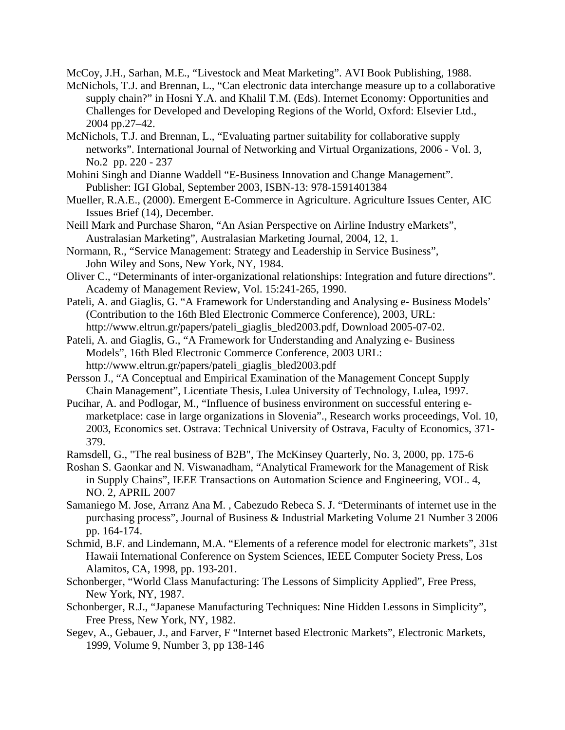McCoy, J.H., Sarhan, M.E., "Livestock and Meat Marketing". AVI Book Publishing, 1988.

- McNichols, T.J. and Brennan, L., "Can electronic data interchange measure up to a collaborative supply chain?" in Hosni Y.A. and Khalil T.M. (Eds). Internet Economy: Opportunities and Challenges for Developed and Developing Regions of the World, Oxford: Elsevier Ltd., 2004 pp.27–42.
- McNichols, T.J. and Brennan, L., "Evaluating partner suitability for collaborative supply networks". International Journal of Networking and Virtual Organizations, 2006 - Vol. 3, No.2 pp. 220 - 237
- Mohini Singh and Dianne Waddell "E-Business Innovation and Change Management". Publisher: IGI Global, September 2003, ISBN-13: 978-1591401384
- Mueller, R.A.E., (2000). Emergent E-Commerce in Agriculture. Agriculture Issues Center, AIC Issues Brief (14), December.
- Neill Mark and Purchase Sharon, "An Asian Perspective on Airline Industry eMarkets", Australasian Marketing", Australasian Marketing Journal, 2004, 12, 1.
- Normann, R., "Service Management: Strategy and Leadership in Service Business", John Wiley and Sons, New York, NY, 1984.
- Oliver C., "Determinants of inter-organizational relationships: Integration and future directions". Academy of Management Review, Vol. 15:241-265, 1990.
- Pateli, A. and Giaglis, G. "A Framework for Understanding and Analysing e- Business Models' (Contribution to the 16th Bled Electronic Commerce Conference), 2003, URL: http://www.eltrun.gr/papers/pateli\_giaglis\_bled2003.pdf, Download 2005-07-02.
- Pateli, A. and Giaglis, G., "A Framework for Understanding and Analyzing e- Business Models", 16th Bled Electronic Commerce Conference, 2003 URL: http://www.eltrun.gr/papers/pateli\_giaglis\_bled2003.pdf
- Persson J., "A Conceptual and Empirical Examination of the Management Concept Supply Chain Management", Licentiate Thesis, Lulea University of Technology, Lulea, 1997.
- Pucihar, A. and Podlogar, M., "Influence of business environment on successful entering emarketplace: case in large organizations in Slovenia"., Research works proceedings, Vol. 10, 2003, Economics set. Ostrava: Technical University of Ostrava, Faculty of Economics, 371- 379.
- Ramsdell, G., "The real business of B2B", The McKinsey Quarterly, No. 3, 2000, pp. 175-6
- Roshan S. Gaonkar and N. Viswanadham, "Analytical Framework for the Management of Risk in Supply Chains", IEEE Transactions on Automation Science and Engineering, VOL. 4, NO. 2, APRIL 2007
- Samaniego M. Jose, Arranz Ana M. , Cabezudo Rebeca S. J. "Determinants of internet use in the purchasing process", Journal of Business & Industrial Marketing Volume 21 Number 3 2006 pp. 164-174.
- Schmid, B.F. and Lindemann, M.A. "Elements of a reference model for electronic markets", 31st Hawaii International Conference on System Sciences, IEEE Computer Society Press, Los Alamitos, CA, 1998, pp. 193-201.
- Schonberger, "World Class Manufacturing: The Lessons of Simplicity Applied", Free Press, New York, NY, 1987.
- Schonberger, R.J., "Japanese Manufacturing Techniques: Nine Hidden Lessons in Simplicity", Free Press, New York, NY, 1982.
- Segev, A., Gebauer, J., and Farver, F "Internet based Electronic Markets", Electronic Markets, 1999, Volume 9, Number 3, pp 138-146